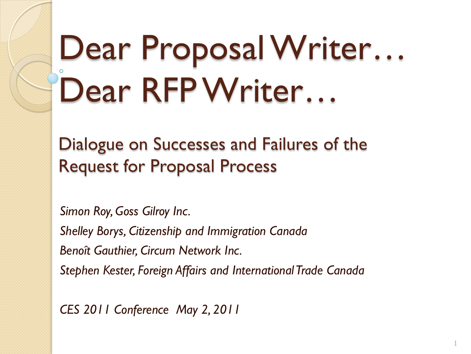# Dear Proposal Writer... Dear RFP Writer...

Dialogue on Successes and Failures of the Request for Proposal Process

*Simon Roy, Goss Gilroy Inc.*

*Shelley Borys, Citizenship and Immigration Canada*

*Benoît Gauthier, Circum Network Inc.*

*Stephen Kester, Foreign Affairs and International Trade Canada*

1

*CES 2011 Conference May 2, 2011*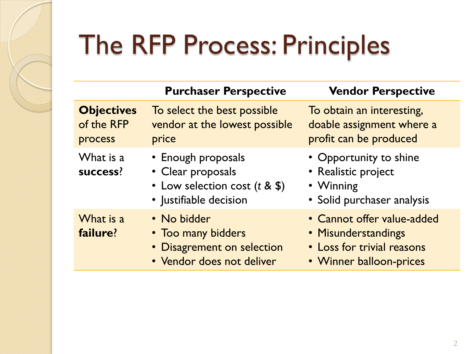### The RFP Process: Principles

|                                            | <b>Purchaser Perspective</b>                                                                           | <b>Vendor Perspective</b>                                                                                  |
|--------------------------------------------|--------------------------------------------------------------------------------------------------------|------------------------------------------------------------------------------------------------------------|
| <b>Objectives</b><br>of the RFP<br>process | To select the best possible<br>vendor at the lowest possible<br>price                                  | To obtain an interesting,<br>doable assignment where a<br>profit can be produced                           |
| What is a<br>success?                      | • Enough proposals<br>• Clear proposals<br>• Low selection cost $(t \& $ \$)<br>• Justifiable decision | • Opportunity to shine<br>• Realistic project<br>• Winning<br>• Solid purchaser analysis                   |
| What is a<br>failure?                      | • No bidder<br>• Too many bidders<br>• Disagrement on selection<br>• Vendor does not deliver           | • Cannot offer value-added<br>• Misunderstandings<br>• Loss for trivial reasons<br>• Winner balloon-prices |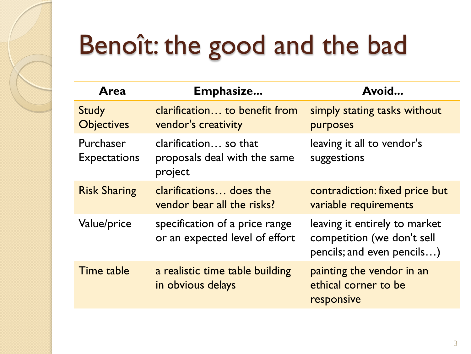## Benoît: the good and the bad

| Area                              | Emphasize                                                        | Avoid                                                                                     |
|-----------------------------------|------------------------------------------------------------------|-------------------------------------------------------------------------------------------|
| <b>Study</b><br><b>Objectives</b> | clarification to benefit from<br>vendor's creativity             | simply stating tasks without<br>purposes                                                  |
| Purchaser<br><b>Expectations</b>  | clarification so that<br>proposals deal with the same<br>project | leaving it all to vendor's<br>suggestions                                                 |
| <b>Risk Sharing</b>               | clarifications does the<br>vendor bear all the risks?            | contradiction: fixed price but<br>variable requirements                                   |
| Value/price                       | specification of a price range<br>or an expected level of effort | leaving it entirely to market<br>competition (we don't sell<br>pencils; and even pencils) |
| Time table                        | a realistic time table building<br>in obvious delays             | painting the vendor in an<br>ethical corner to be<br>responsive                           |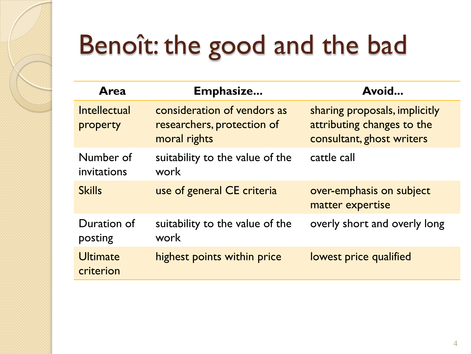## Benoît: the good and the bad

| Area                         | Emphasize                                                                 | Avoid                                                                                    |
|------------------------------|---------------------------------------------------------------------------|------------------------------------------------------------------------------------------|
| Intellectual<br>property     | consideration of vendors as<br>researchers, protection of<br>moral rights | sharing proposals, implicitly<br>attributing changes to the<br>consultant, ghost writers |
| Number of<br>invitations     | suitability to the value of the<br>work                                   | cattle call                                                                              |
| <b>Skills</b>                | use of general CE criteria                                                | over-emphasis on subject<br>matter expertise                                             |
| Duration of<br>posting       | suitability to the value of the<br>work                                   | overly short and overly long                                                             |
| <b>Ultimate</b><br>criterion | highest points within price                                               | lowest price qualified                                                                   |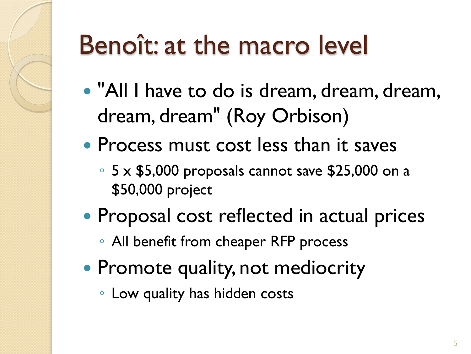### Benoît: at the macro level

- "All I have to do is dream, dream, dream, dream, dream" (Roy Orbison)
- Process must cost less than it saves
	- 5 x \$5,000 proposals cannot save \$25,000 on a \$50,000 project
- Proposal cost reflected in actual prices
	- All benefit from cheaper RFP process
- Promote quality, not mediocrity
	- Low quality has hidden costs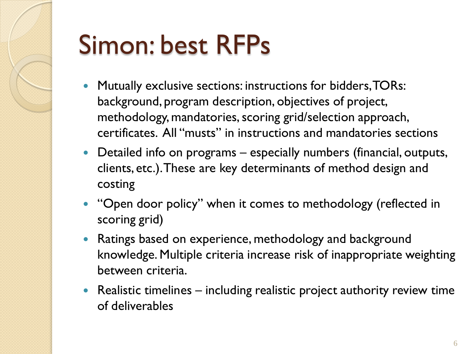

#### Simon: best RFPs

- Mutually exclusive sections: instructions for bidders, TORs: background, program description, objectives of project, methodology, mandatories, scoring grid/selection approach, certificates. All "musts" in instructions and mandatories sections
- Detailed info on programs especially numbers (financial, outputs, clients, etc.). These are key determinants of method design and costing
- "Open door policy" when it comes to methodology (reflected in scoring grid)
- Ratings based on experience, methodology and background knowledge. Multiple criteria increase risk of inappropriate weighting between criteria.
- Realistic timelines including realistic project authority review time of deliverables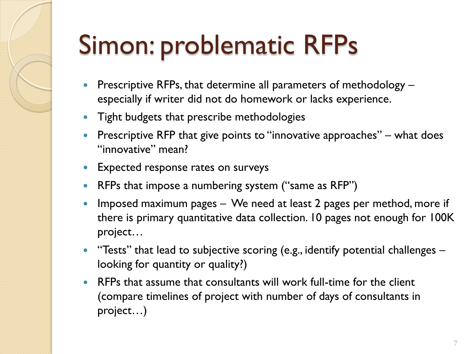## Simon: problematic RFPs

- Prescriptive RFPs, that determine all parameters of methodology especially if writer did not do homework or lacks experience.
- Tight budgets that prescribe methodologies
- **Prescriptive RFP that give points to "innovative approaches"** what does "innovative" mean?
- **Expected response rates on surveys**
- RFPs that impose a numbering system ("same as RFP")
- Imposed maximum pages We need at least 2 pages per method, more if there is primary quantitative data collection. 10 pages not enough for 100K project…
- "Tests" that lead to subjective scoring (e.g., identify potential challenges looking for quantity or quality?)
- RFPs that assume that consultants will work full-time for the client (compare timelines of project with number of days of consultants in project…)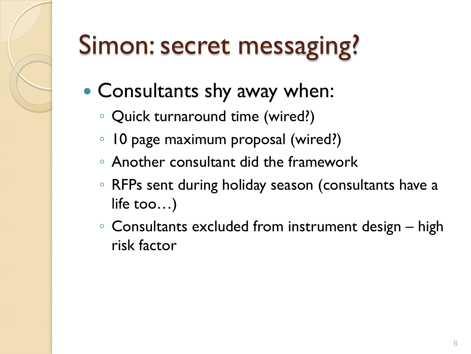## Simon: secret messaging?

- Consultants shy away when:
	- Quick turnaround time (wired?)
	- 10 page maximum proposal (wired?)
	- Another consultant did the framework
	- RFPs sent during holiday season (consultants have a life too…)
	- Consultants excluded from instrument design high risk factor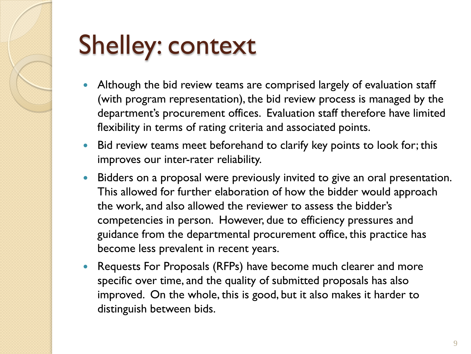

### Shelley: context

- Although the bid review teams are comprised largely of evaluation staff (with program representation), the bid review process is managed by the department's procurement offices. Evaluation staff therefore have limited flexibility in terms of rating criteria and associated points.
- Bid review teams meet beforehand to clarify key points to look for; this improves our inter-rater reliability.
- Bidders on a proposal were previously invited to give an oral presentation. This allowed for further elaboration of how the bidder would approach the work, and also allowed the reviewer to assess the bidder's competencies in person. However, due to efficiency pressures and guidance from the departmental procurement office, this practice has become less prevalent in recent years.
- Requests For Proposals (RFPs) have become much clearer and more specific over time, and the quality of submitted proposals has also improved. On the whole, this is good, but it also makes it harder to distinguish between bids.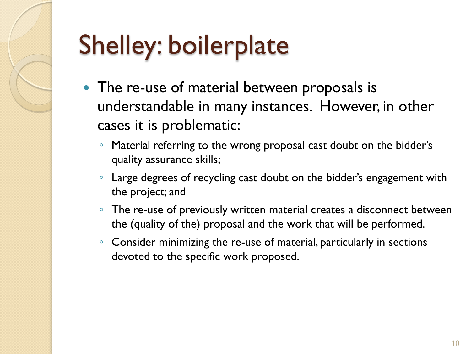## Shelley: boilerplate

- The re-use of material between proposals is understandable in many instances. However, in other cases it is problematic:
	- Material referring to the wrong proposal cast doubt on the bidder's quality assurance skills;
	- Large degrees of recycling cast doubt on the bidder's engagement with the project; and
	- The re-use of previously written material creates a disconnect between the (quality of the) proposal and the work that will be performed.
	- Consider minimizing the re-use of material, particularly in sections devoted to the specific work proposed.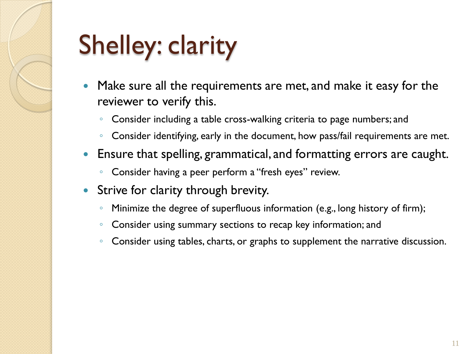## Shelley: clarity

- Make sure all the requirements are met, and make it easy for the reviewer to verify this.
	- Consider including a table cross-walking criteria to page numbers; and
	- Consider identifying, early in the document, how pass/fail requirements are met.
- Ensure that spelling, grammatical, and formatting errors are caught.
	- Consider having a peer perform a "fresh eyes" review.
- Strive for clarity through brevity.
	- Minimize the degree of superfluous information (e.g., long history of firm);
	- Consider using summary sections to recap key information; and
	- Consider using tables, charts, or graphs to supplement the narrative discussion.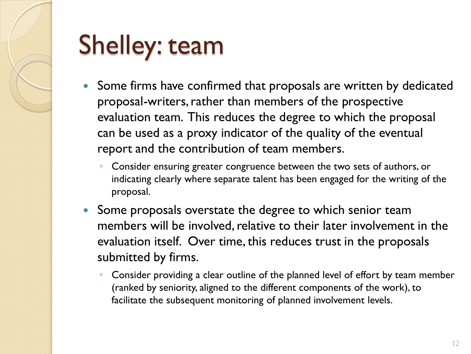

#### Shelley: team

- Some firms have confirmed that proposals are written by dedicated proposal-writers, rather than members of the prospective evaluation team. This reduces the degree to which the proposal can be used as a proxy indicator of the quality of the eventual report and the contribution of team members.
	- Consider ensuring greater congruence between the two sets of authors, or indicating clearly where separate talent has been engaged for the writing of the proposal.
- Some proposals overstate the degree to which senior team members will be involved, relative to their later involvement in the evaluation itself. Over time, this reduces trust in the proposals submitted by firms.
	- Consider providing a clear outline of the planned level of effort by team member (ranked by seniority, aligned to the different components of the work), to facilitate the subsequent monitoring of planned involvement levels.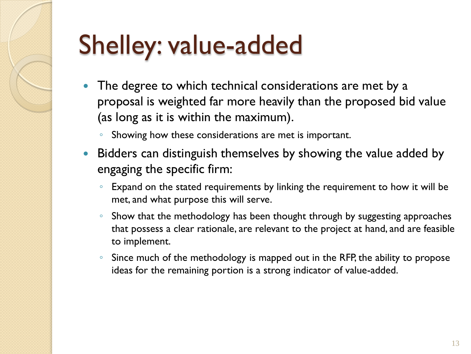## Shelley: value-added

- The degree to which technical considerations are met by a proposal is weighted far more heavily than the proposed bid value (as long as it is within the maximum).
	- Showing how these considerations are met is important.
- Bidders can distinguish themselves by showing the value added by engaging the specific firm:
	- Expand on the stated requirements by linking the requirement to how it will be met, and what purpose this will serve.
	- Show that the methodology has been thought through by suggesting approaches that possess a clear rationale, are relevant to the project at hand, and are feasible to implement.
	- Since much of the methodology is mapped out in the RFP, the ability to propose ideas for the remaining portion is a strong indicator of value-added.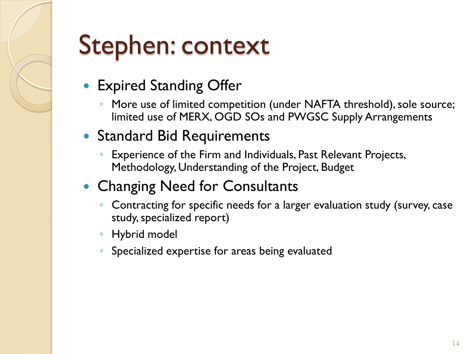#### Stephen: context

- Expired Standing Offer
	- More use of limited competition (under NAFTA threshold), sole source; limited use of MERX, OGD SOs and PWGSC Supply Arrangements
- Standard Bid Requirements
	- Experience of the Firm and Individuals, Past Relevant Projects, Methodology, Understanding of the Project, Budget
- Changing Need for Consultants
	- Contracting for specific needs for a larger evaluation study (survey, case study, specialized report)
	- Hybrid model
	- Specialized expertise for areas being evaluated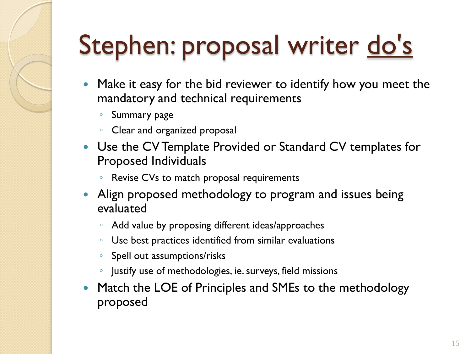## Stephen: proposal writer do's

- Make it easy for the bid reviewer to identify how you meet the mandatory and technical requirements
	- Summary page
	- Clear and organized proposal
- Use the CV Template Provided or Standard CV templates for Proposed Individuals
	- Revise CVs to match proposal requirements
- Align proposed methodology to program and issues being evaluated
	- Add value by proposing different ideas/approaches
	- Use best practices identified from similar evaluations
	- Spell out assumptions/risks
	- Justify use of methodologies, ie. surveys, field missions
- Match the LOE of Principles and SMEs to the methodology proposed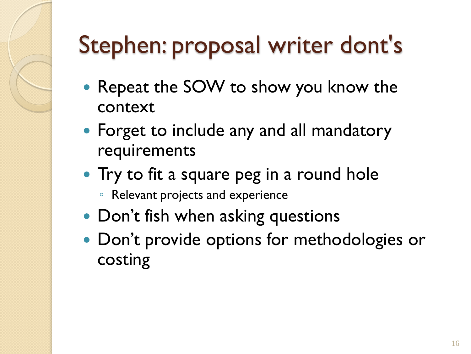#### Stephen: proposal writer dont's

- Repeat the SOW to show you know the context
- Forget to include any and all mandatory requirements
- Try to fit a square peg in a round hole
	- Relevant projects and experience
- Don't fish when asking questions
- Don't provide options for methodologies or costing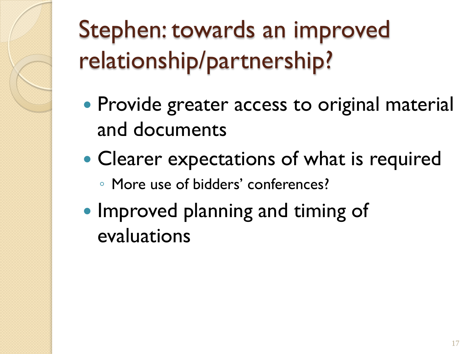Stephen: towards an improved relationship/partnership?

- Provide greater access to original material and documents
- Clearer expectations of what is required
	- More use of bidders' conferences?
- Improved planning and timing of evaluations